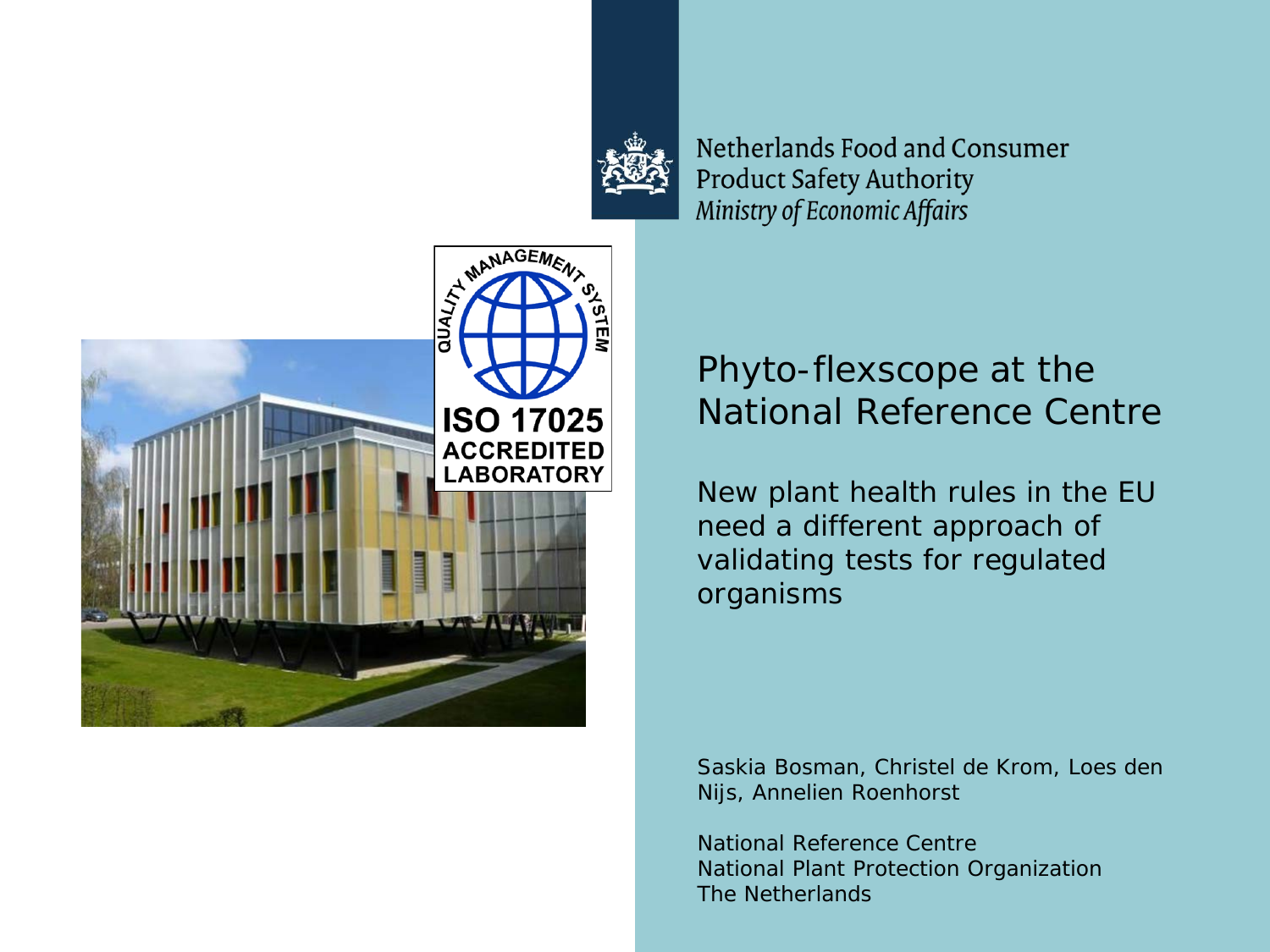

Netherlands Food and Consumer **Product Safety Authority Ministry of Economic Affairs** 



#### Phyto-flexscope at the National Reference Centre

New plant health rules in the EU need a different approach of validating tests for regulated organisms

Saskia Bosman, Christel de Krom, Loes den Nijs, Annelien Roenhorst

National Reference Centre National Plant Protection Organization The Netherlands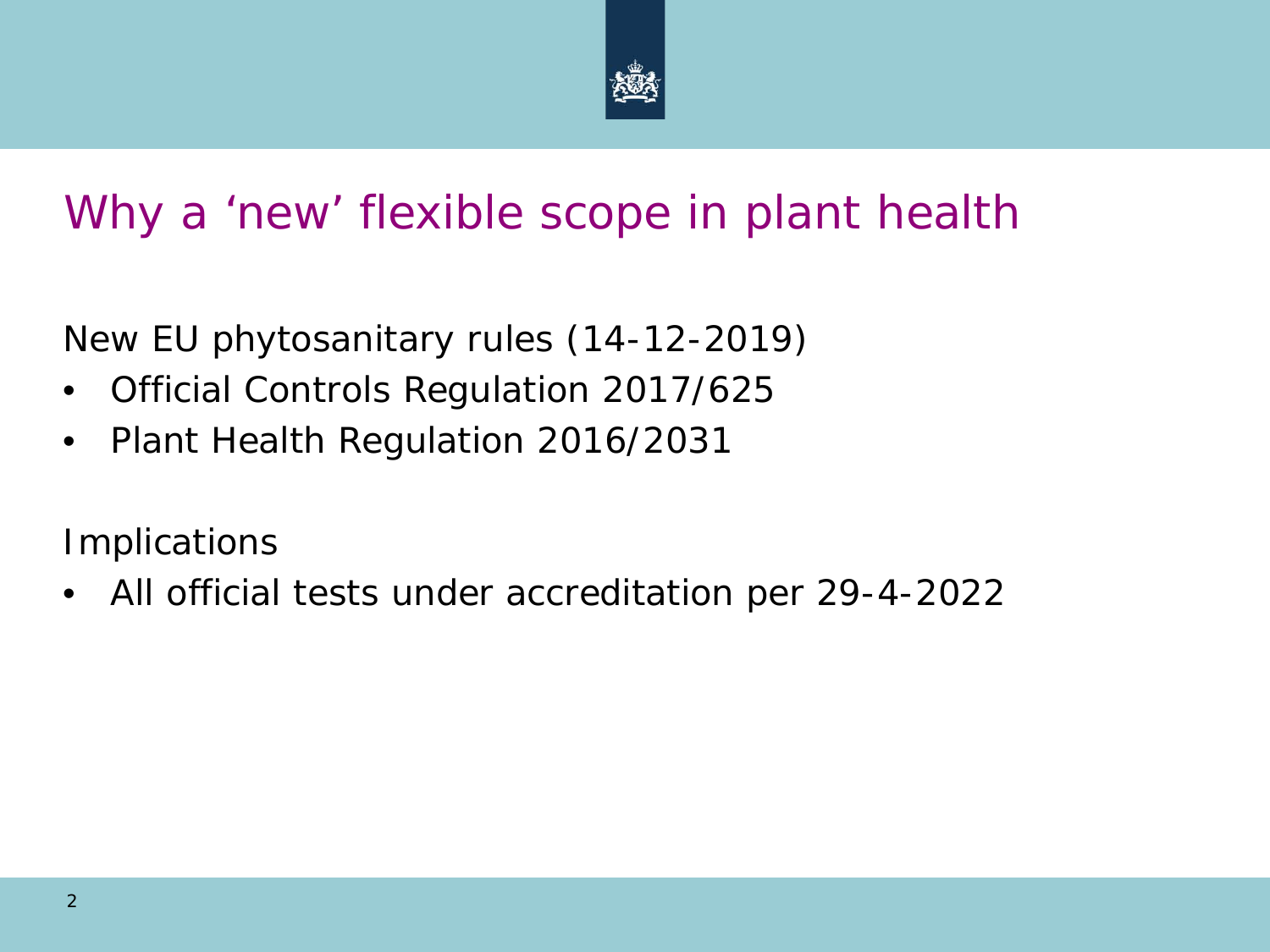

### Why a 'new' flexible scope in plant health

New EU phytosanitary rules (14-12-2019)

- Official Controls Regulation 2017/625
- Plant Health Regulation 2016/2031

**Implications** 

• All official tests under accreditation per 29-4-2022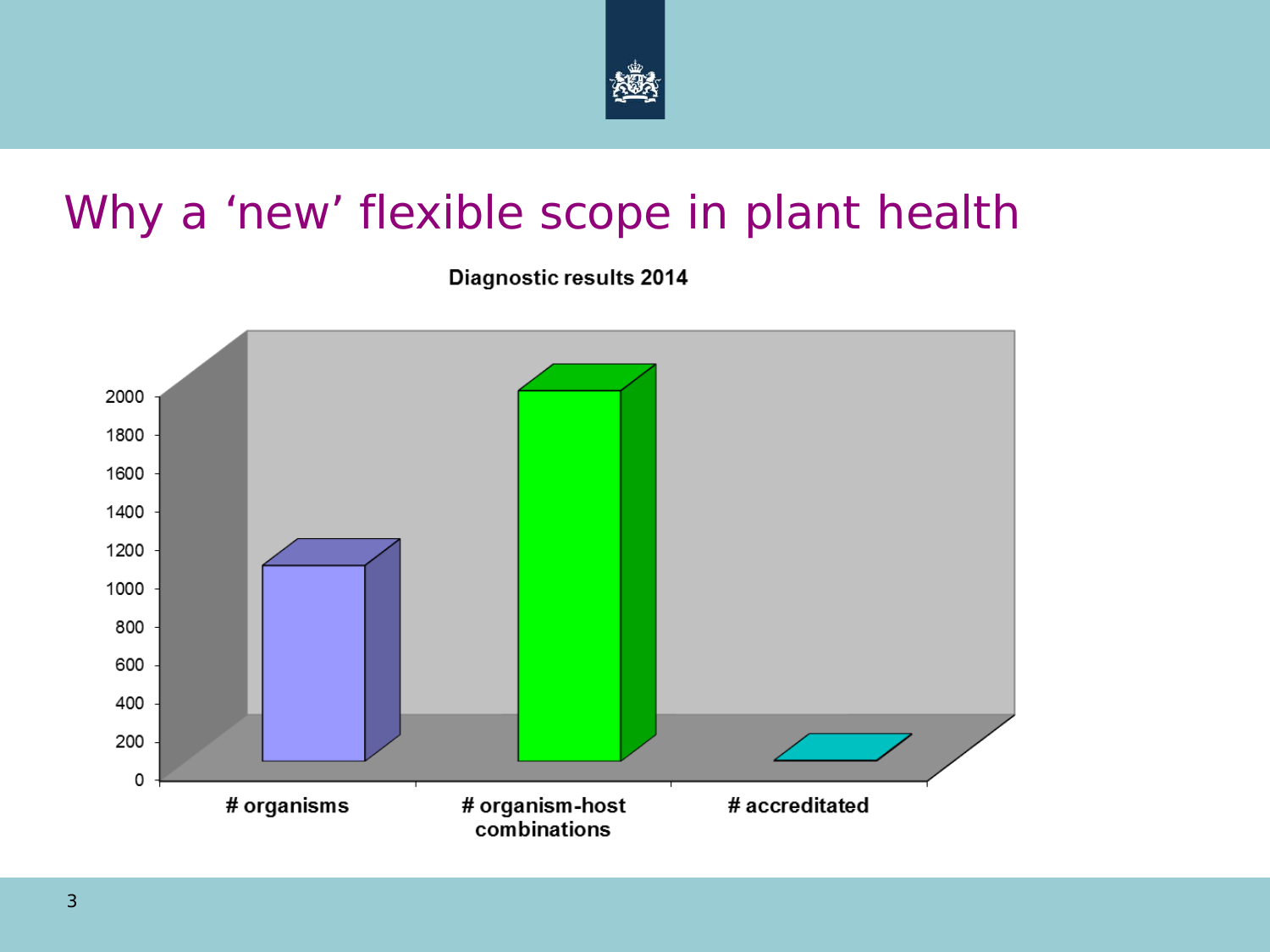

#### Why a 'new' flexible scope in plant health

Diagnostic results 2014

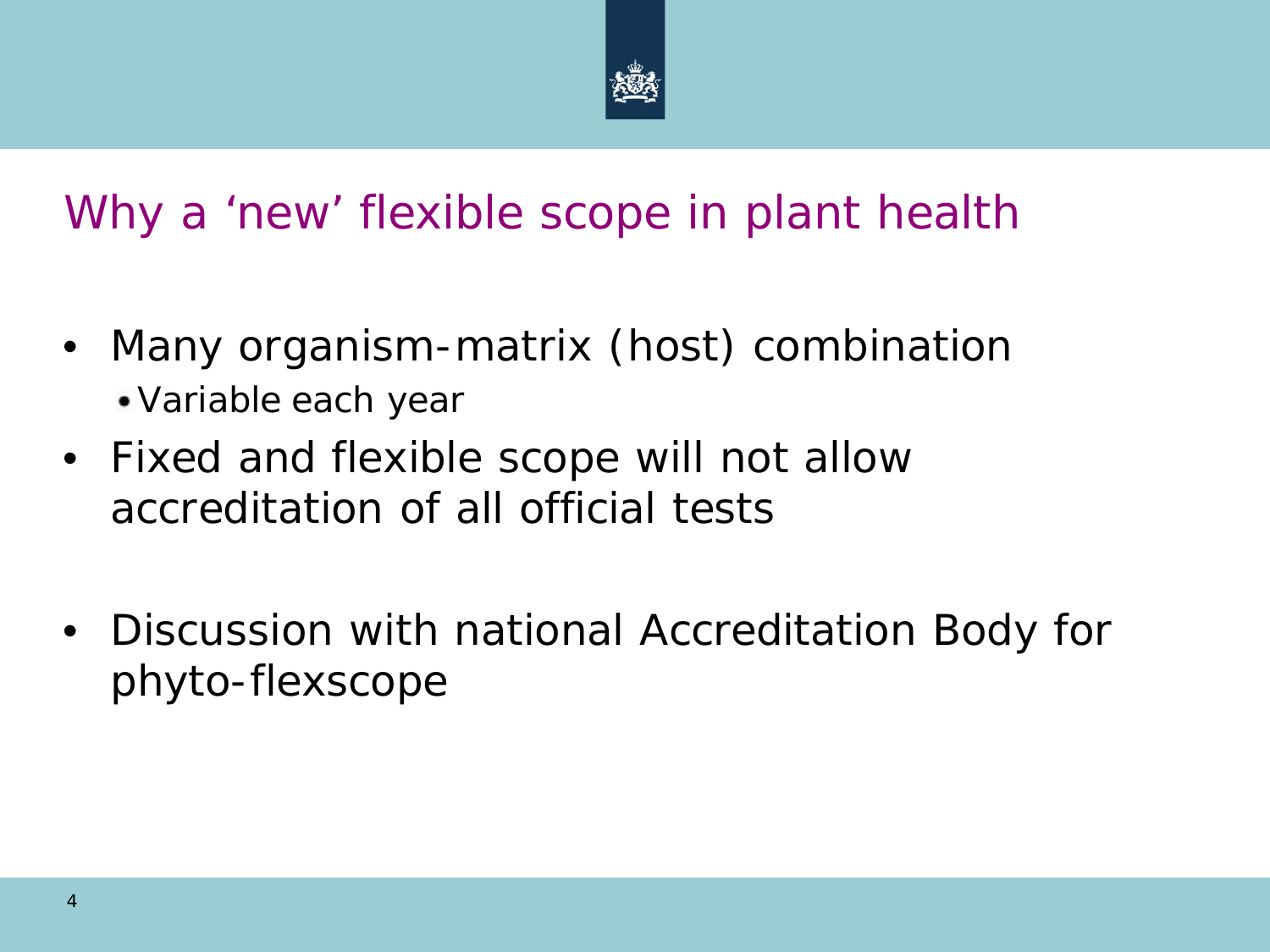

## Why a 'new' flexible scope in plant health

- Many organism-matrix (host) combination Variable each year
- Fixed and flexible scope will not allow accreditation of all official tests
- Discussion with national Accreditation Body for phyto-flexscope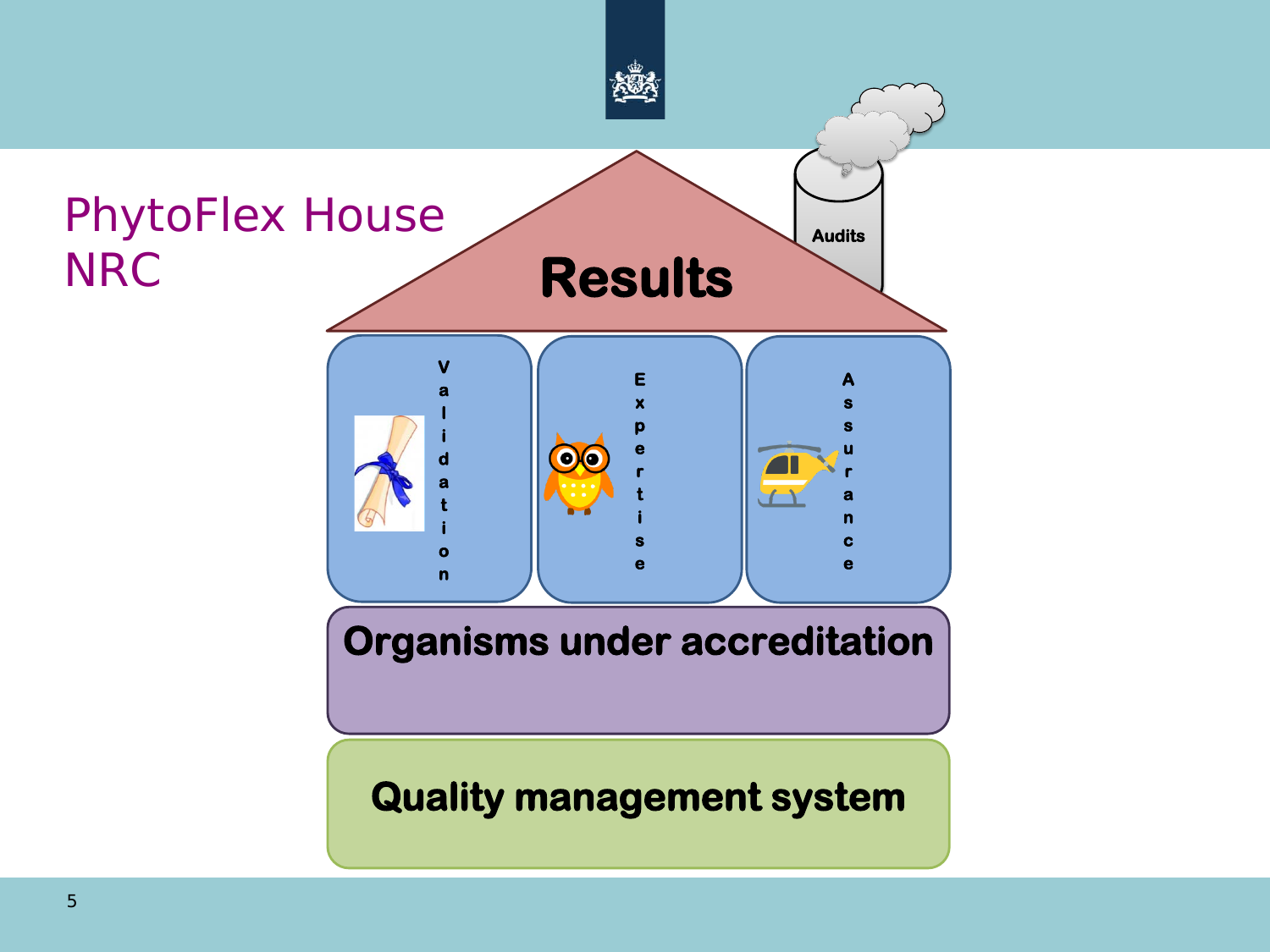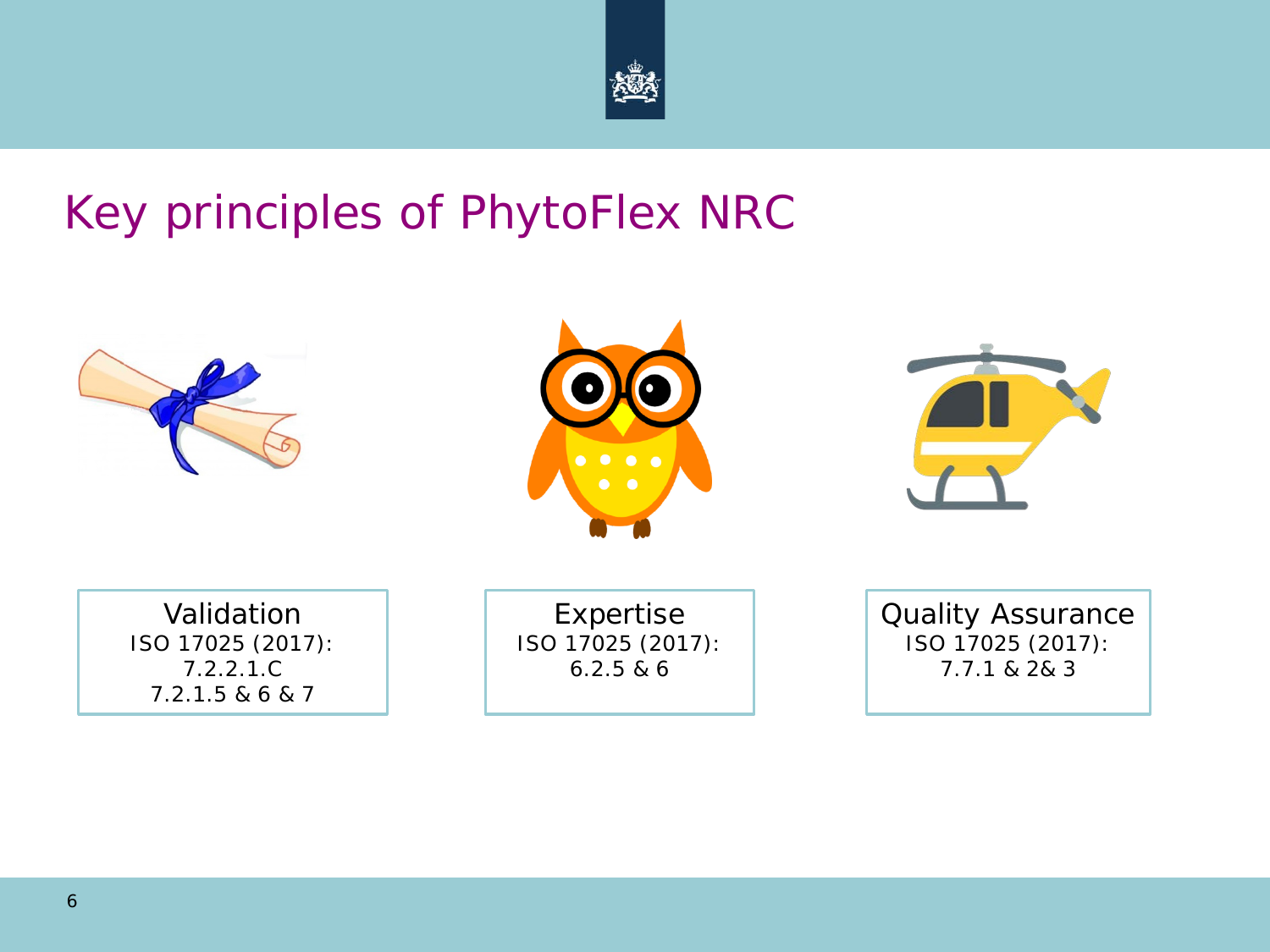

### Key principles of PhytoFlex NRC

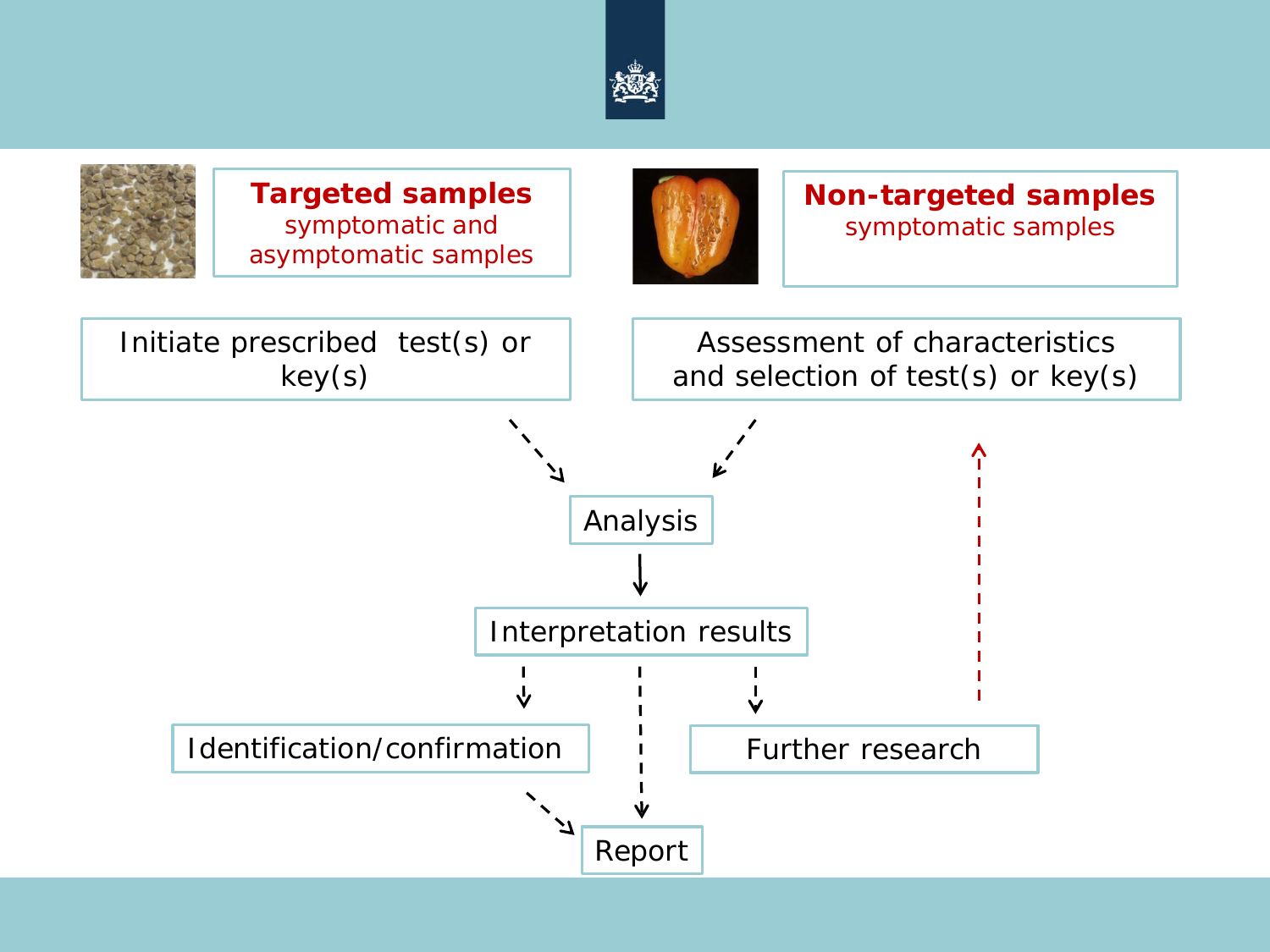

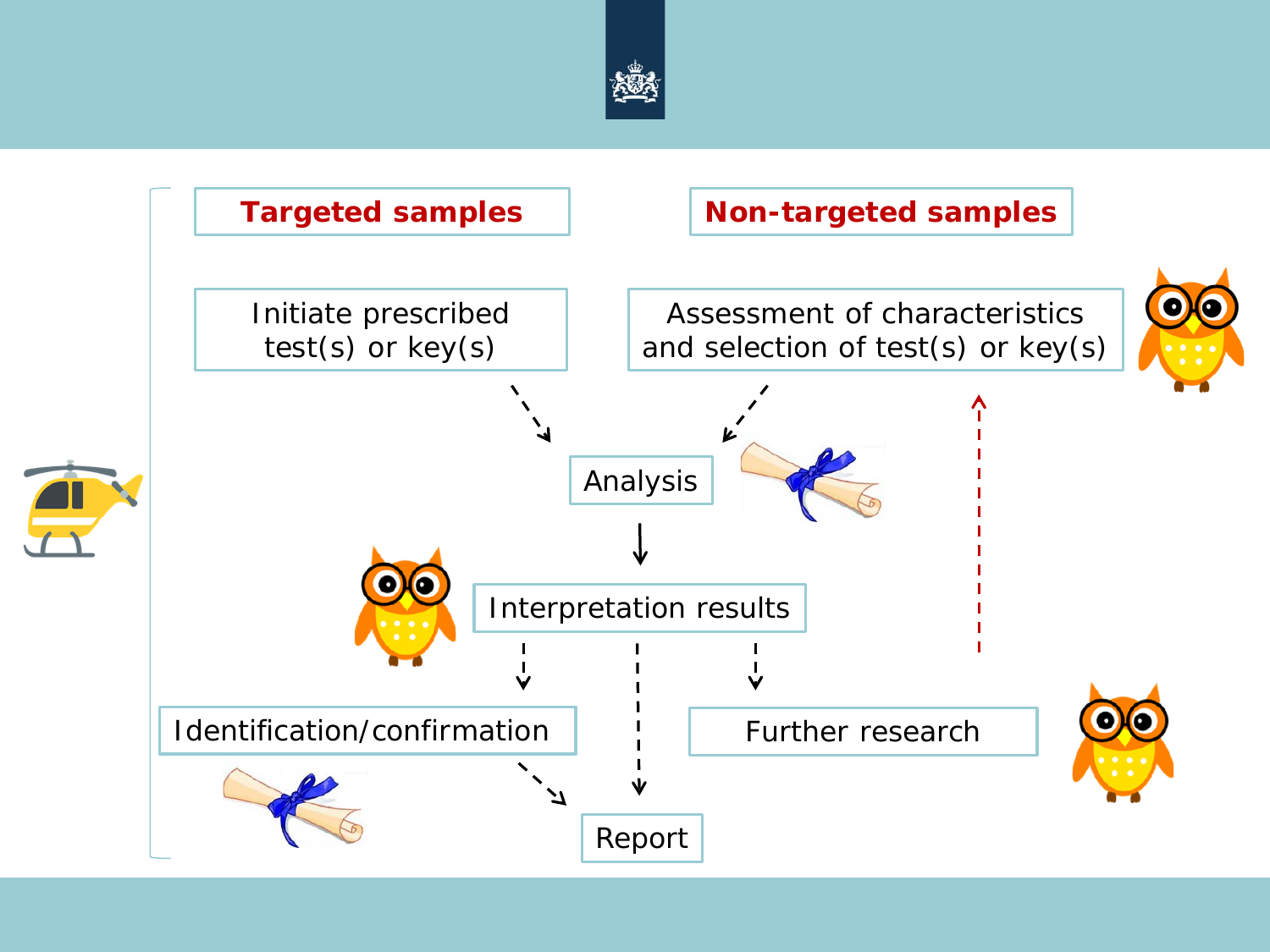

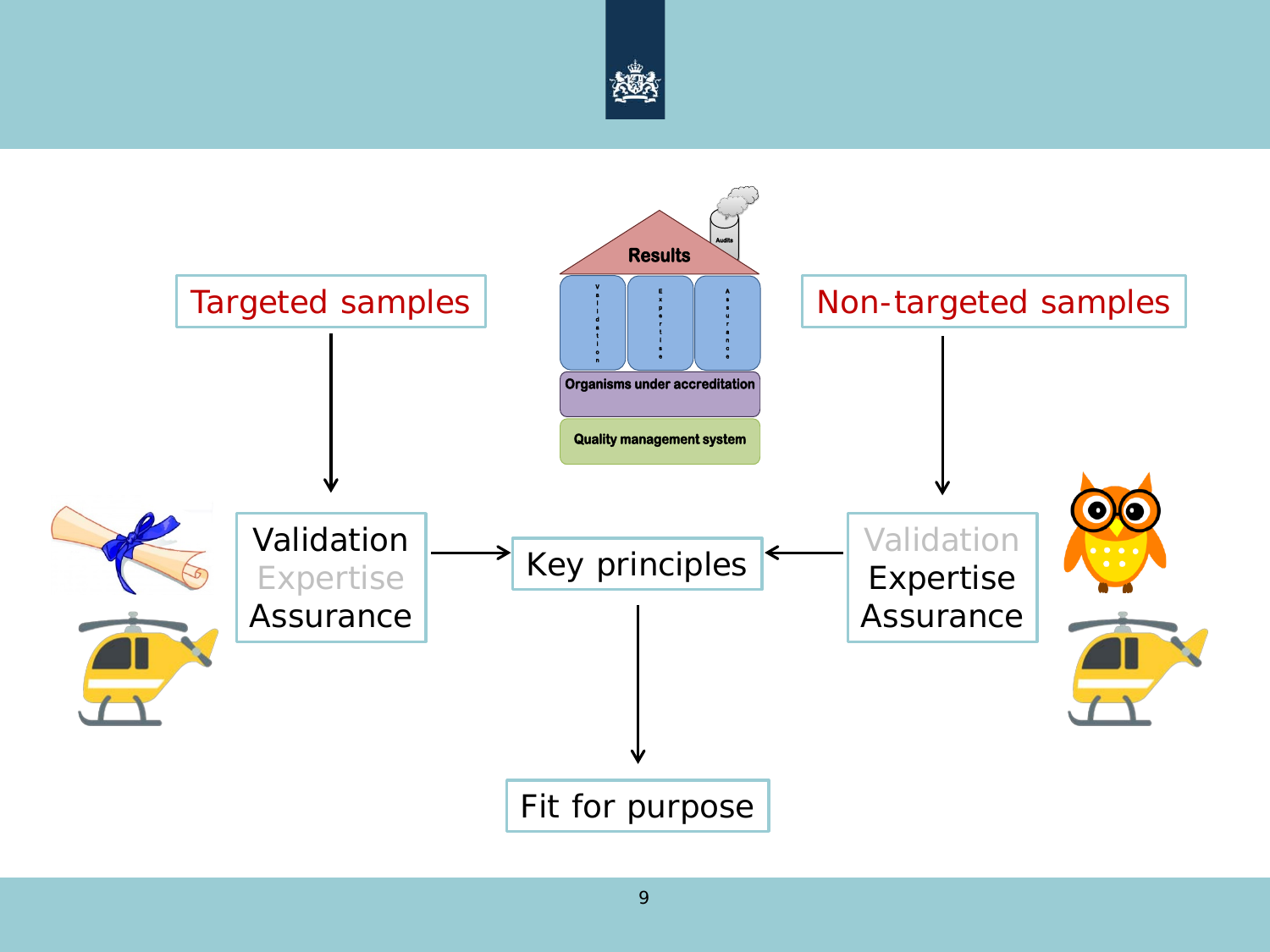

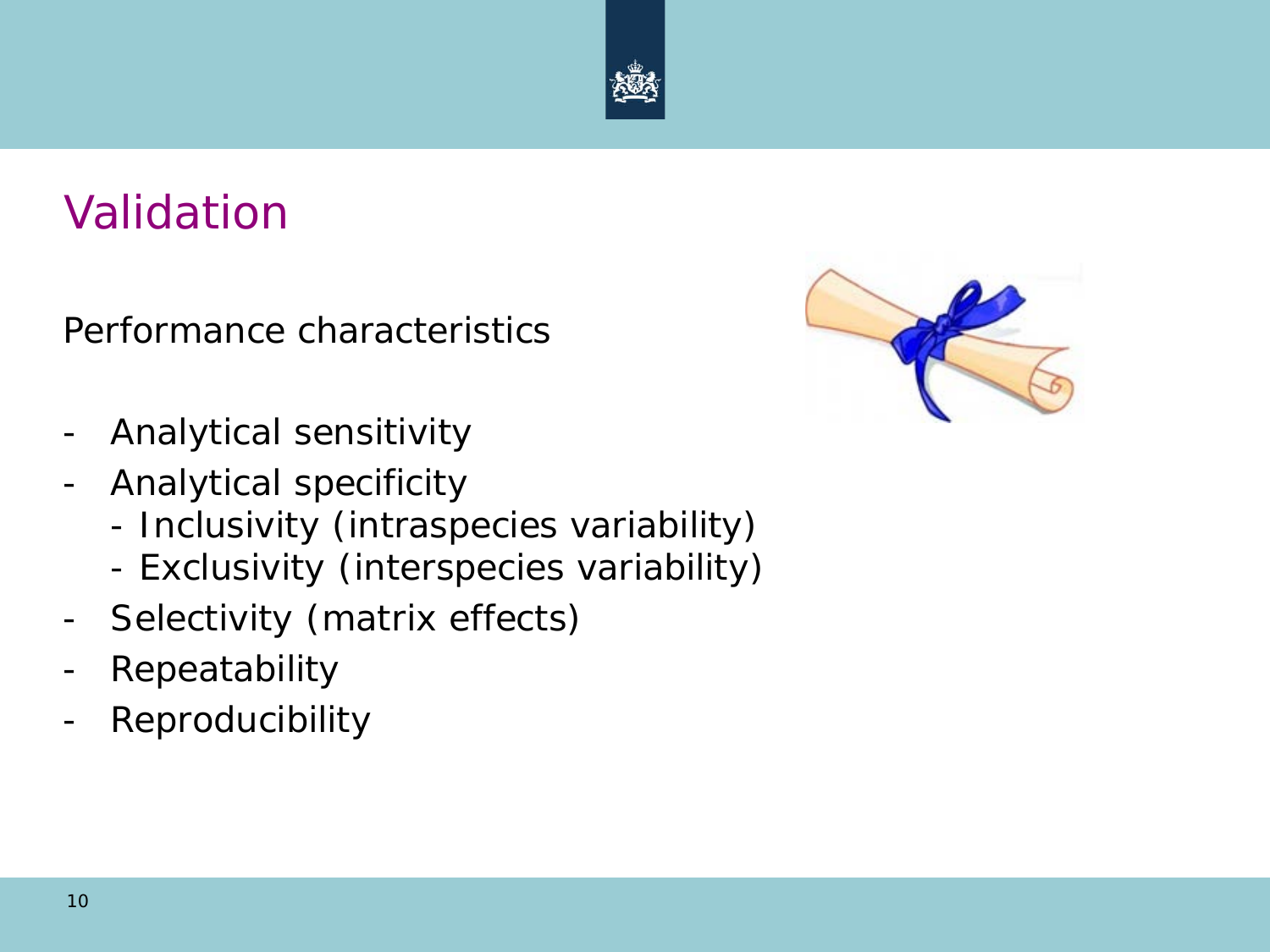

### Validation

Performance characteristics

- Analytical sensitivity
- Analytical specificity
	- Inclusivity (intraspecies variability)
	- Exclusivity (interspecies variability)
- Selectivity (matrix effects)
- **Repeatability**
- Reproducibility

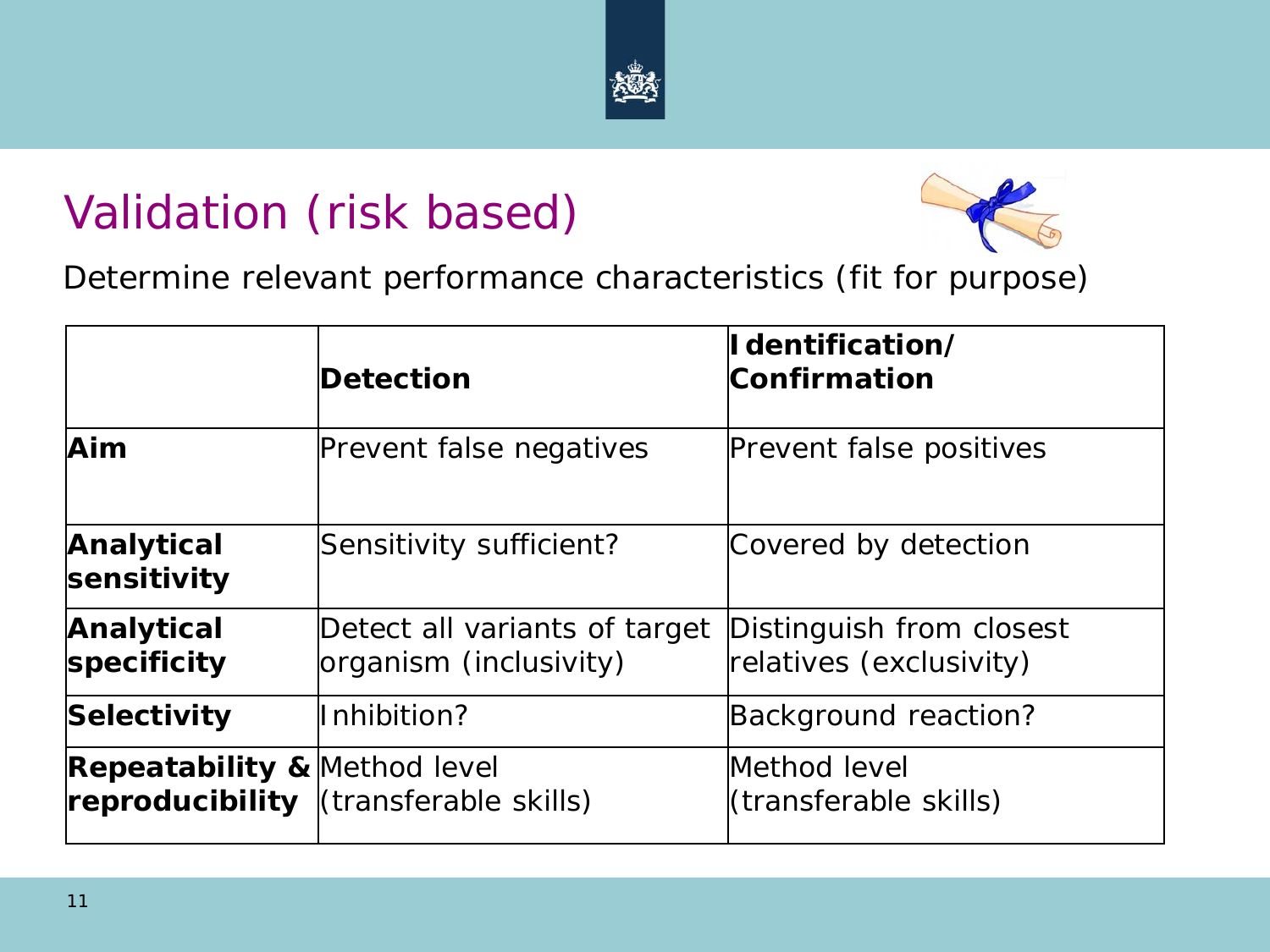## Validation (risk based)



Determine relevant performance characteristics (fit for purpose)

|                                         | Detection                                               | $\sf II$ dentification/<br>Confirmation             |
|-----------------------------------------|---------------------------------------------------------|-----------------------------------------------------|
| Aim                                     | Prevent false negatives                                 | Prevent false positives                             |
| Analytical<br>sensitivity               | Sensitivity sufficient?                                 | Covered by detection                                |
| Analytical<br>specificity               | Detect all variants of target<br>organism (inclusivity) | Distinguish from closest<br>relatives (exclusivity) |
| Selectivity                             | Inhibition?                                             | Background reaction?                                |
| <b>Repeatability &amp; Method level</b> | <b>reproducibility</b> (transferable skills)            | Method level<br>(transferable skills)               |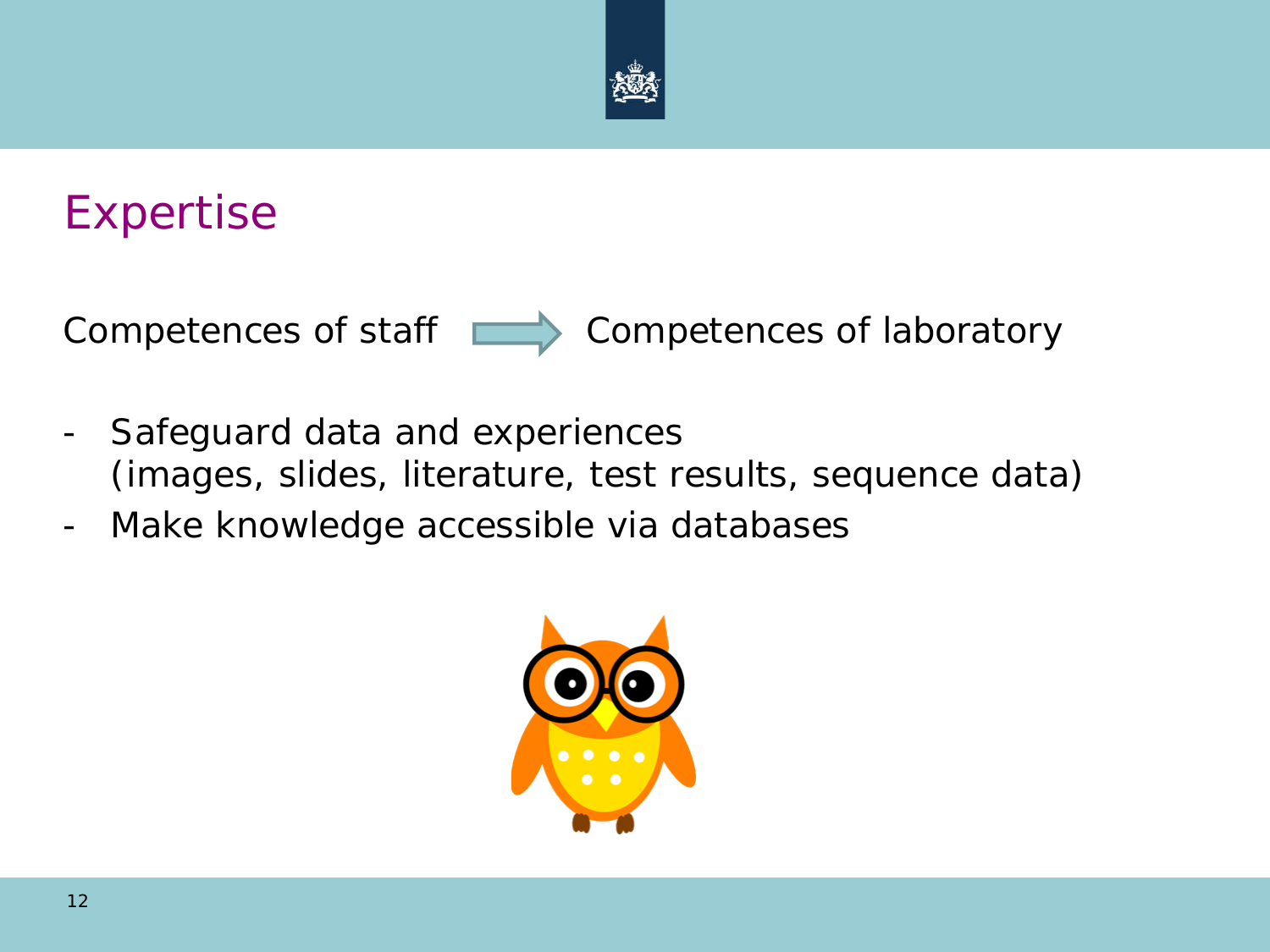

#### Expertise

Competences of staff **Competences** of laboratory

- Safeguard data and experiences (images, slides, literature, test results, sequence data)
- Make knowledge accessible via databases

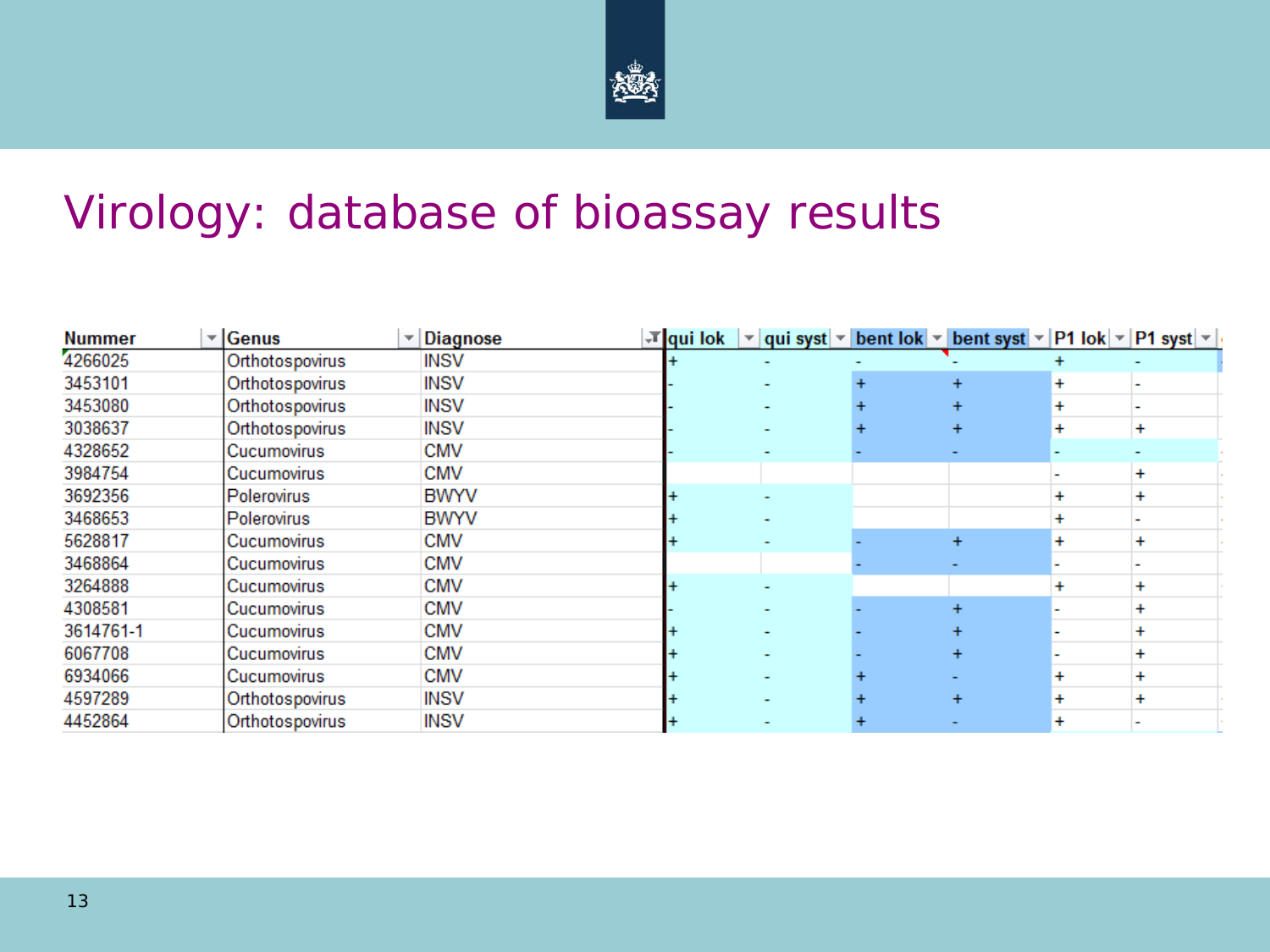

#### Virology: database of bioassay results

| <b>Nummer</b> | $\overline{\phantom{a}}$ Genus | Diagnose    | <b><math>\mathcal{F}</math></b> qui lok |  | $\triangledown$ qui syst $\triangledown$ bent lok $\triangledown$ bent syst $\triangledown$ P1 lok $\triangledown$ P1 syst $\triangledown$ |           |   |  |
|---------------|--------------------------------|-------------|-----------------------------------------|--|--------------------------------------------------------------------------------------------------------------------------------------------|-----------|---|--|
| 4266025       | Orthotospovirus                | <b>INSV</b> |                                         |  |                                                                                                                                            |           |   |  |
| 3453101       | Orthotospovirus                | <b>INSV</b> |                                         |  |                                                                                                                                            | +         |   |  |
| 3453080       | Orthotospovirus                | <b>INSV</b> |                                         |  | +                                                                                                                                          | $\ddot{}$ |   |  |
| 3038637       | Orthotospovirus                | <b>INSV</b> |                                         |  | $\ddot{}$                                                                                                                                  | $\ddot{}$ | + |  |
| 4328652       | Cucumovirus                    | <b>CMV</b>  |                                         |  |                                                                                                                                            |           |   |  |
| 3984754       | Cucumovirus                    | <b>CMV</b>  |                                         |  |                                                                                                                                            |           |   |  |
| 3692356       | Polerovirus                    | <b>BWYV</b> |                                         |  |                                                                                                                                            |           |   |  |
| 3468653       | Polerovirus                    | <b>BWYV</b> |                                         |  |                                                                                                                                            |           |   |  |
| 5628817       | Cucumovirus                    | <b>CMV</b>  |                                         |  | ÷                                                                                                                                          |           |   |  |
| 3468864       | Cucumovirus                    | <b>CMV</b>  |                                         |  |                                                                                                                                            |           |   |  |
| 3264888       | Cucumovirus                    | <b>CMV</b>  |                                         |  |                                                                                                                                            |           |   |  |
| 4308581       | Cucumovirus                    | <b>CMV</b>  |                                         |  |                                                                                                                                            |           |   |  |
| 3614761-1     | Cucumovirus                    | <b>CMV</b>  |                                         |  |                                                                                                                                            |           |   |  |
| 6067708       | Cucumovirus                    | <b>CMV</b>  |                                         |  | +                                                                                                                                          |           |   |  |
| 6934066       | Cucumovirus                    | <b>CMV</b>  |                                         |  |                                                                                                                                            | ÷         |   |  |
| 4597289       | Orthotospovirus                | <b>INSV</b> |                                         |  |                                                                                                                                            |           |   |  |
| 4452864       | Orthotospovirus                | <b>INSV</b> |                                         |  |                                                                                                                                            | +         |   |  |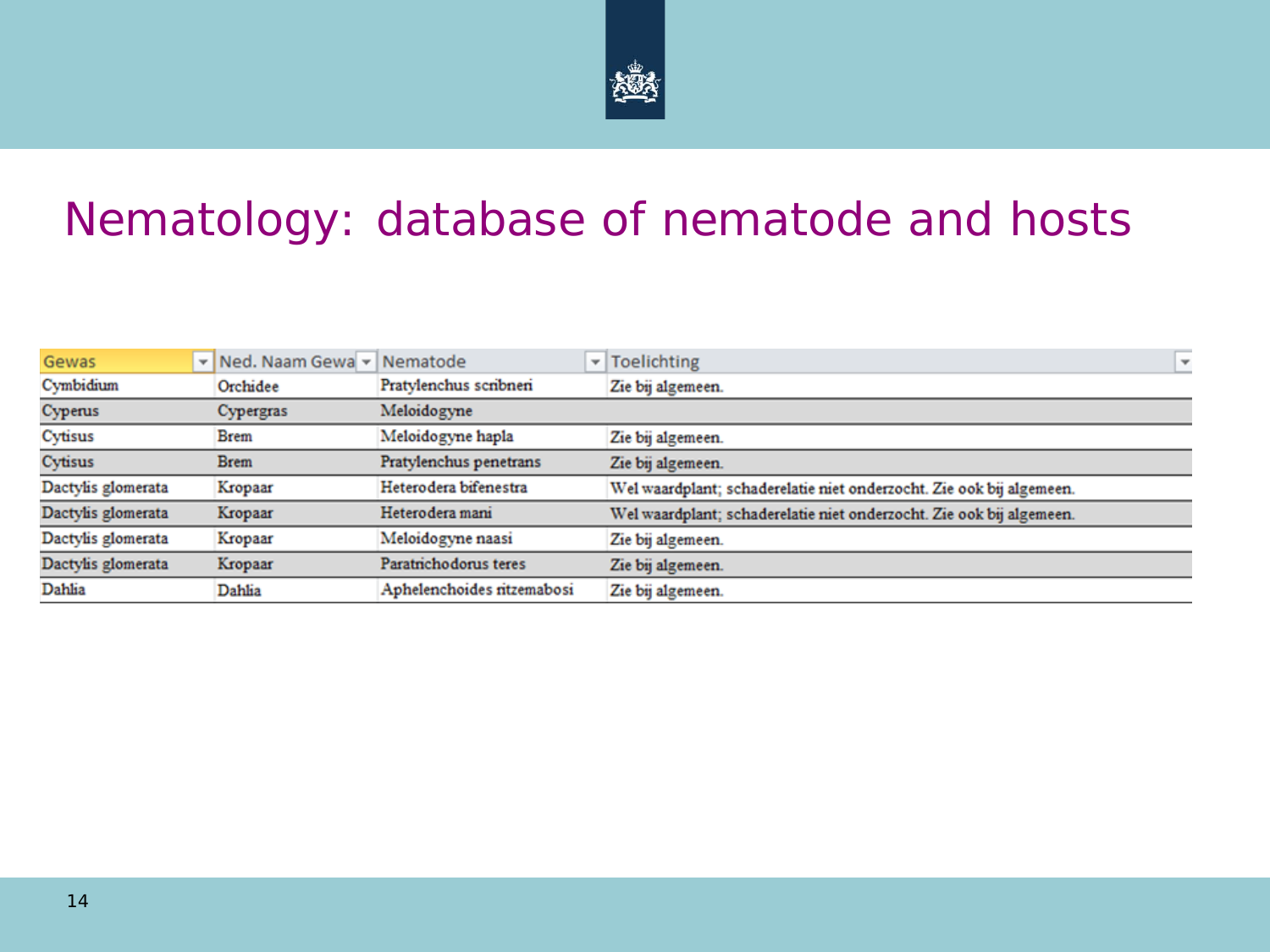

## Nematology: database of nematode and hosts

| Gewas              | ▼ Ned. Naam Gewa ▼ Nematode |                            | v Toelichting<br>٠                                                   |
|--------------------|-----------------------------|----------------------------|----------------------------------------------------------------------|
| Cymbidium          | Orchidee                    | Pratylenchus scribneri     | Zie bij algemeen.                                                    |
| Cyperus            | Cypergras                   | Meloidogyne                |                                                                      |
| Cytisus            | Brem                        | Meloidogyne hapla          | Zie bij algemeen.                                                    |
| Cytisus            | Brem                        | Pratylenchus penetrans     | Zie bij algemeen.                                                    |
| Dactylis glomerata | Kropaar                     | Heterodera bifenestra      | Wel waardplant; schaderelatie niet onderzocht. Zie ook bij algemeen. |
| Dactylis glomerata | Kropaar                     | Heterodera mani            | Wel waardplant; schaderelatie niet onderzocht. Zie ook bij algemeen. |
| Dactylis glomerata | Kropaar                     | Meloidogyne naasi          | Zie bij algemeen.                                                    |
| Dactylis glomerata | Kropaar                     | Paratrichodorus teres      | Zie bij algemeen.                                                    |
| Dahlia             | Dahlia                      | Aphelenchoides ritzemabosi | Zie bij algemeen.                                                    |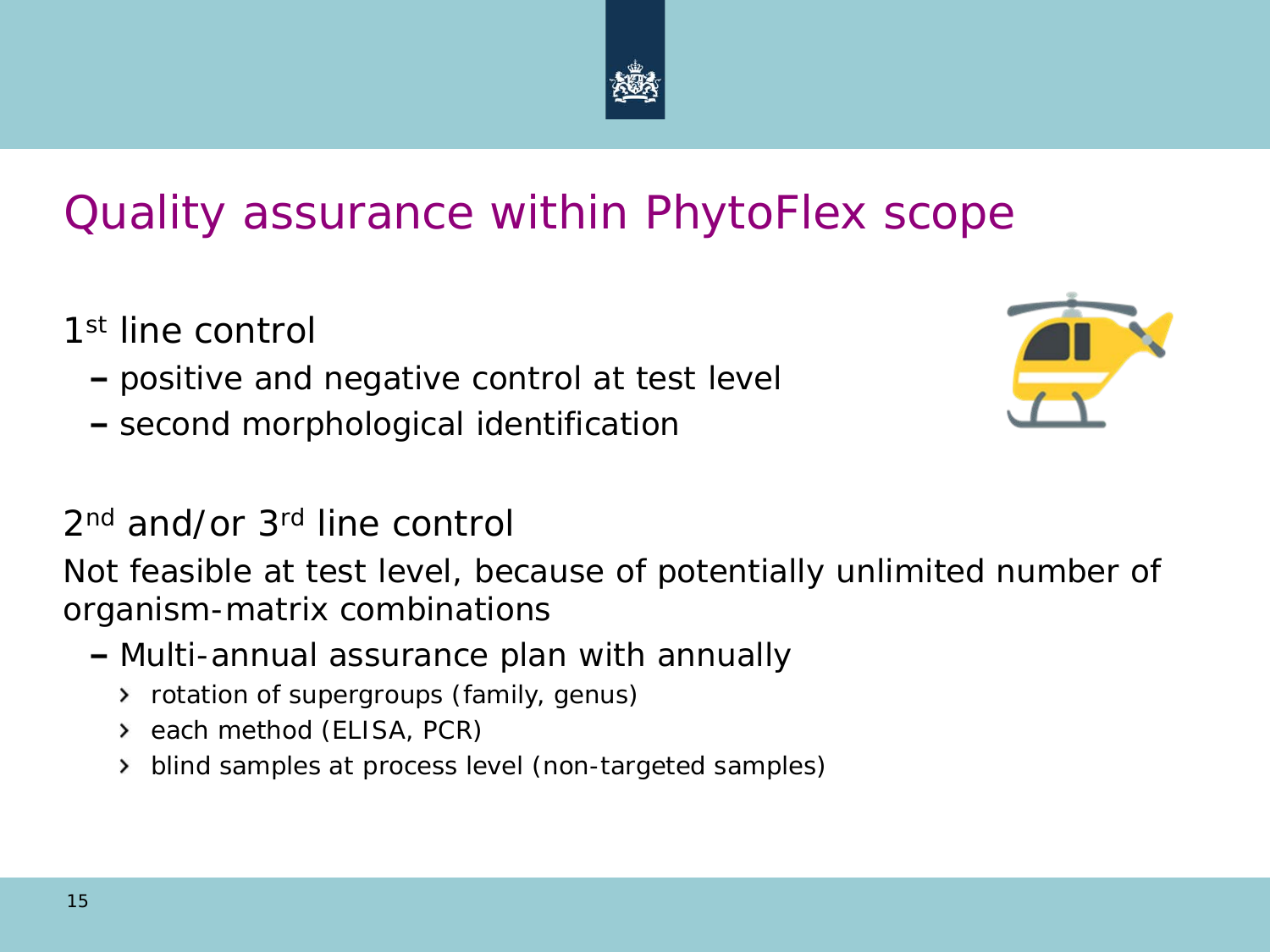# Quality assurance within PhytoFlex scope

- 1<sup>st</sup> line control
	- positive and negative control at test level
	- second morphological identification

#### 2nd and/or 3rd line control

Not feasible at test level, because of potentially unlimited number of organism-matrix combinations

- Multi-annual assurance plan with annually
	- rotation of supergroups (family, genus)
	- > each method (ELISA, PCR)
	- > blind samples at process level (non-targeted samples)

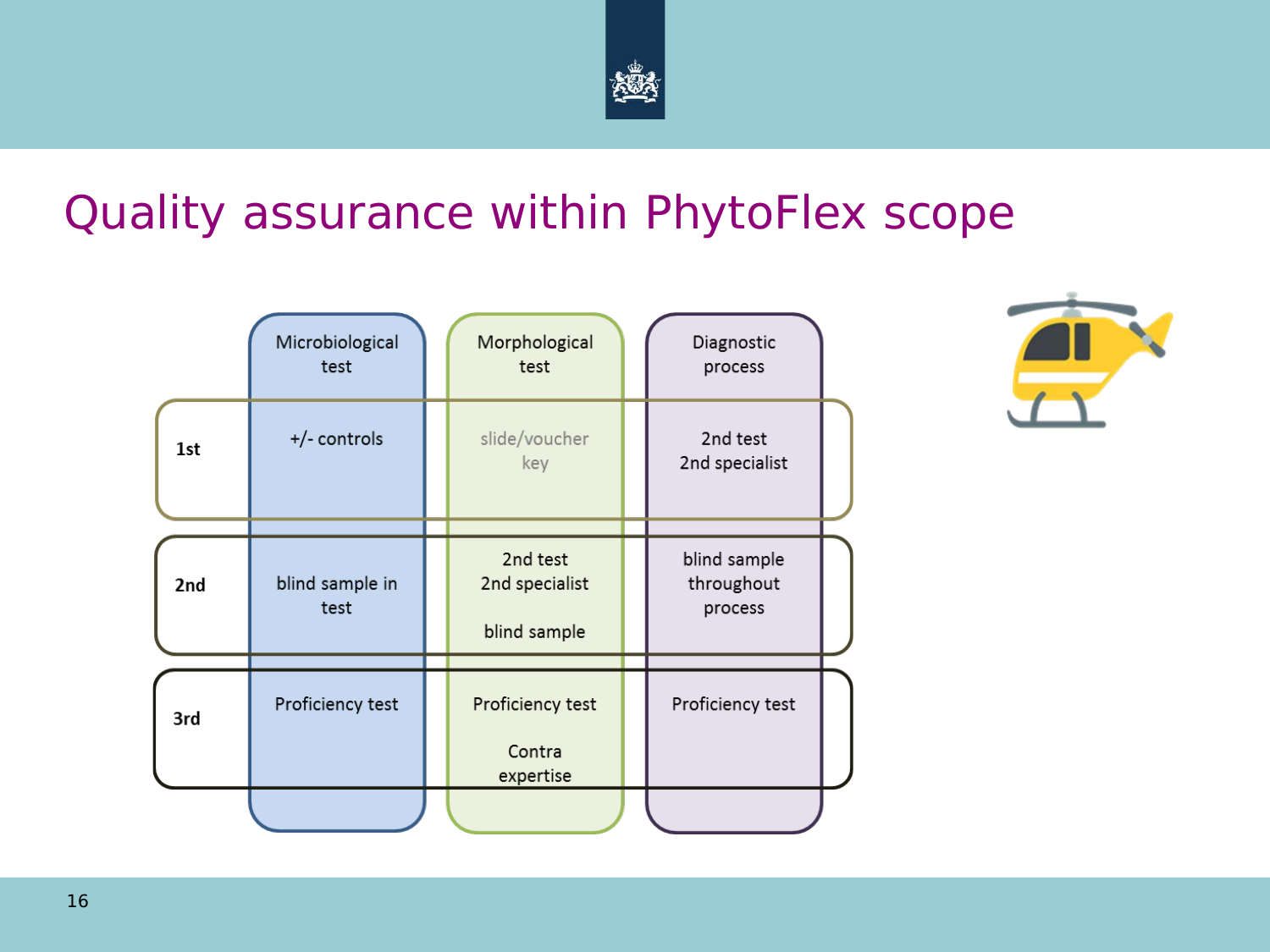

### Quality assurance within PhytoFlex scope

|     | Microbiological<br>test | Morphological<br>test                      | Diagnostic<br>process                 |  |
|-----|-------------------------|--------------------------------------------|---------------------------------------|--|
| 1st | +/- controls            | slide/voucher<br>key                       | 2nd test<br>2nd specialist            |  |
| 2nd | blind sample in<br>test | 2nd test<br>2nd specialist<br>blind sample | blind sample<br>throughout<br>process |  |
| 3rd | Proficiency test        | Proficiency test<br>Contra<br>expertise    | Proficiency test                      |  |
|     |                         |                                            |                                       |  |

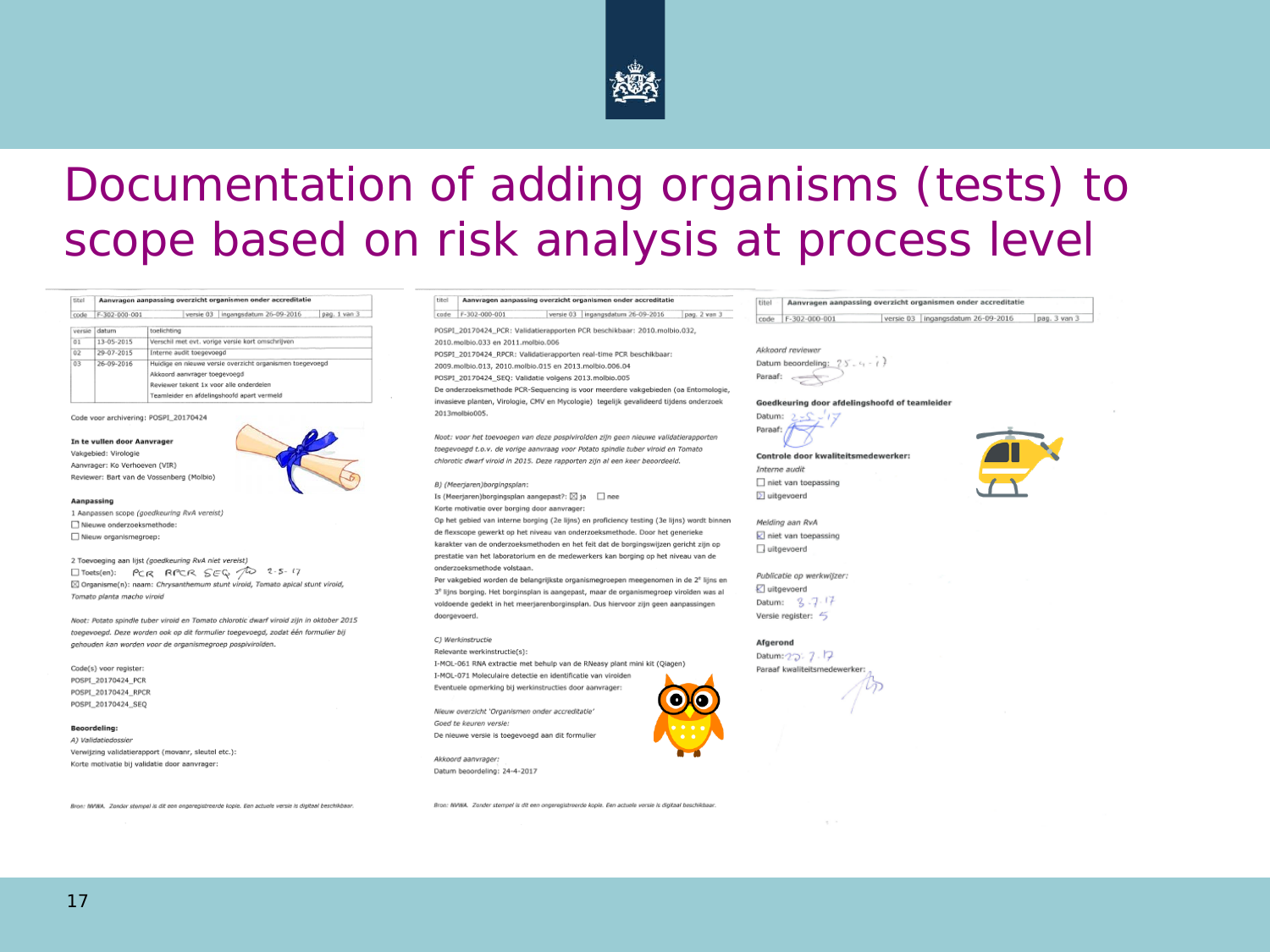

## Documentation of adding organisms (tests) to scope based on risk analysis at process level

fitel | Aanwagen aannassing overzicht organismen onder accreditatie code F-302-000-001 versie 03 ingangsdatum 26-09-2016 | pag. 1 van 3

| versie | datum      | toelichting                                              |
|--------|------------|----------------------------------------------------------|
| 01     | 13-05-2015 | Verschil met evt. vorige versie kort omschrijven         |
| 02     | 29-07-2015 | Interne audit toegevoegd                                 |
| 03     | 26-09-2016 | Huidige en nieuwe versie overzicht organismen toegevoegd |
|        |            | Akkoord aanvrager toegevoegd                             |
|        |            | Reviewer tekent 1x voor alle onderdelen                  |
|        |            | Teamleider en afdelingshoofd apart vermeld               |

Code voor archivering: POSPI\_20170424

In te vullen door Aanvrager Vakgebied: Virologie Aanvrager: Ko Verhoeven (VIR) Reviewer: Bart van de Vossenberg (Molbio)



Aanpassing 1 Aanpassen scope (goedkeuring RvA vereist) Nieuwe onderzoeksmethode: Nieuw organismegroep:

2 Toevoeging aan lijst (goedkeuring RvA niet vereist) □Toets(en): PCR RPCR SEQ 74 2-5-17 ⊠ Organisme(n): naam: Chrysanthemum stunt viroid, Tomato apical stunt viroid, Tomato planta macho viroid

Noot: Potato spindle tuber viroid en Tomato chlorotic dwarf viroid zijn in oktober 2015 tongevonad. Deze worden ook op dit formulier toegevoegd, zodat één formulier bij gehouden kan worden voor de organismegroep paspiviroïden.

Code(s) voor register: POSPI 20170424 PCR POSPI 20170424 RPCR POSPI\_20170424\_SEQ

#### **Reporteding:**

A) Validatiedossier Verwijzing validatierapport (movanr, sleutel etc.): Korte motivatie bij validatie door aanvrager:

Bron: NVWA. Zonder stempel is dit een ongeregistreerde kopie. Een actuele versie is digitaal beschikbaar.

#### titel | Aanwagen aannassing overzicht organismen onder accreditatie

code F-302-000-001 versie 03 | ingangsdatum 26-09-2016 | pag. 2 van 3

POSPI 20170424 PCR: Validatierapporten PCR beschikbaar: 2010.molbio.032. 2010.molbio.033 en 2011.molbio.006

POSP1\_20170424\_RPCR: Validatierapporten real-time PCR beschikbaar: 2009.molbio.013, 2010.molbio.015 en 2013.molbio.006.04 POSPI\_20170424\_SEQ: Validatie volgens 2013.molbio.005

De onderzoeksmethode PCR-Sequencing is voor meerdere vakgebieden (oa Entomologie, invasieve planten, Virologie, CMV en Mycologie) tegelijk gevalideerd tijdens onderzoek 2013molbio005

Noot: voor het toevoegen van deze pospivirolden zijn geen nieuwe validatierapporten toegevoegd t.o.v. de vorige aanvraag voor Potato spindle tuber viroid en Tomato chlorotic dwarf viroid in 2015. Deze rapporten zijn al een keer beoordeeld.

#### B) (Meerjaren)borgingsplan:

Is (Meerjaren)borgingsplan aangepast?: ⊠ ja □ nee Korte motivatie over borging door aanvrager:

Op het gebied van interne borging (2e lijns) en proficiency testing (3e lijns) wordt binnen de flexscope gewerkt op het niveau van onderzoeksmethode. Door het generieke karakter van de onderzoeksmethoden en het feit dat de borgingswijzen gericht zijn op prestatie van het laboratorium en de medewerkers kan borging op het niveau van de onderzoeksmethode volstaan.

Per vakgebied worden de belangrijkste organismegroepen meegenomen in de 2<sup>e</sup> lijns en 3<sup>e</sup> lijns borging. Het borginsplan is aangepast, maar de organismegroep viroïden was al voldoende gedekt in het meerjarenborginsplan. Dus hiervoor zijn geen aanpassingen doorgevoerd.

#### C) Werkinstructie

Relevante werkinstructie(s): I-MOL-061 RNA extractie met behulp van de RNeasy plant mini kit (Qiagen) I-MOL-071 Moleculaire detectie en identificatie van viroiden

Eventuele opmerking bij werkinstructies door aanvrager:

Nieuw overzicht 'Organismen onder accreditatie' Goed te keuren versie: De nieuwe versie is toegevoegd aan dit formulier

Akkoord aanvrager: Datum beoordeling: 24-4-2017

Bron: NVWA. Zonder stempel is dit een ongeregistreerde kopie. Een actuele versie is digitaal beschikbaar

#### Aanvragen aanpassing overzicht organismen onder accreditatie code F-302-000-001 versie 03 ingangsdatum 26-09-2016 | pag. 3 van 3

Akkoard reviewer Datum becordeling:  $25 - 4 - 7$ Paraaf:

#### Goedkeuring door afdelingshoofd of teamleider



Controle door kwaliteitsmedewerker: Interne audit niet van toepassing D uitgevoerd

Melding aan RyA  $\boxtimes$  niet van toepassing uitgevoerd

Publicatie op werkwitzer: ₹ uitgevoerd Datum: 3.7.17 Versie register: 5

Afgerond

Datum: 22: 7.17 Paraaf kwaliteitsmedewerker:

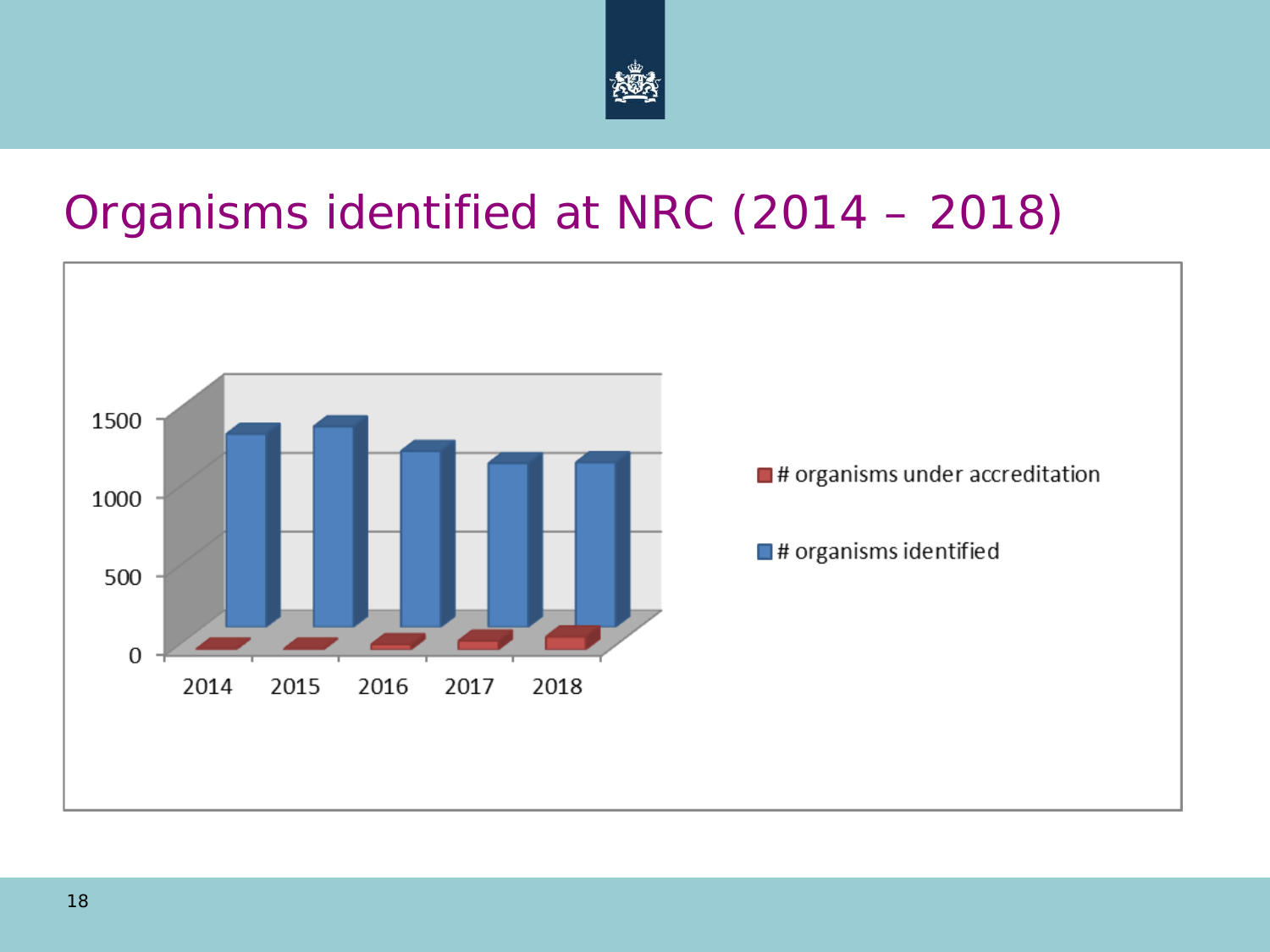

## Organisms identified at NRC (2014 – 2018)

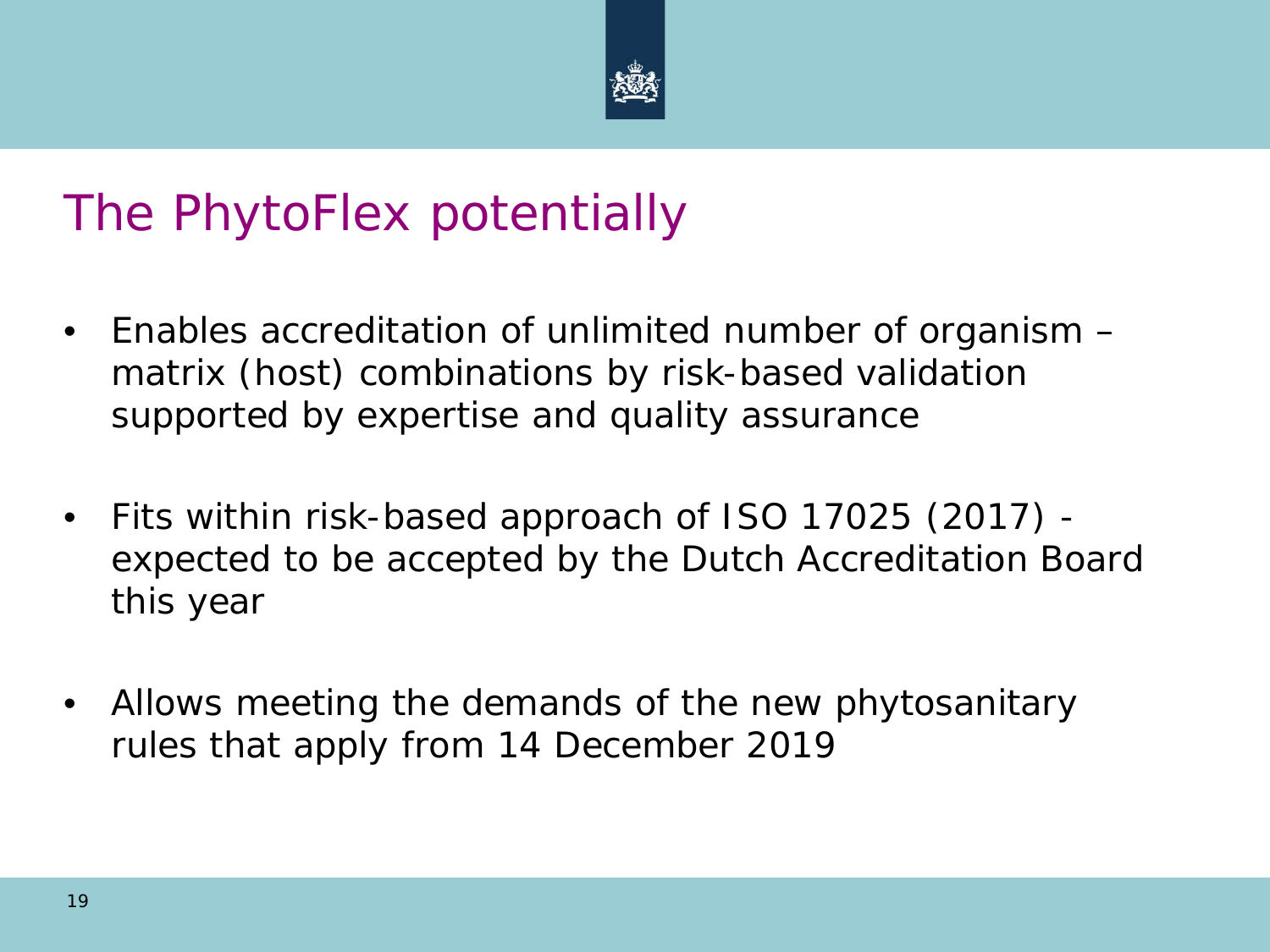

# The PhytoFlex potentially

- Enables accreditation of unlimited number of organism matrix (host) combinations by risk-based validation supported by expertise and quality assurance
- Fits within risk-based approach of ISO 17025 (2017) expected to be accepted by the Dutch Accreditation Board this year
- Allows meeting the demands of the new phytosanitary rules that apply from 14 December 2019